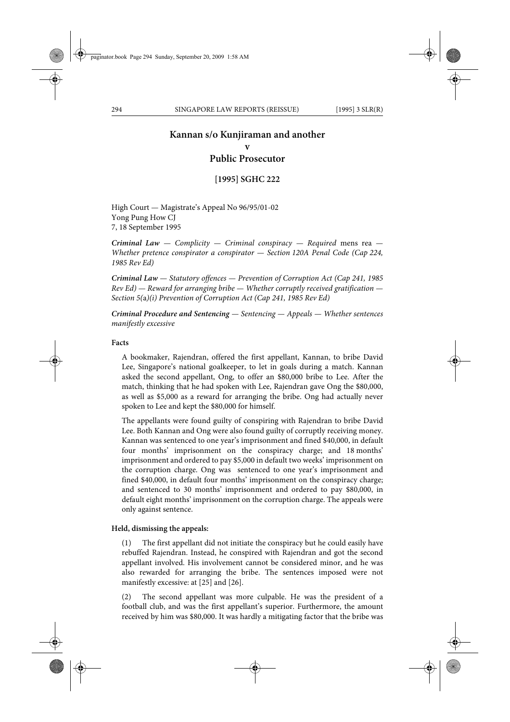# **Kannan s/o Kunjiraman and another**

**v** 

**Public Prosecutor**

**[1995] SGHC 222**

High Court — Magistrate's Appeal No 96/95/01-02 Yong Pung How CJ 7, 18 September 1995

*Criminal Law — Complicity — Criminal conspiracy — Required* mens rea *— Whether pretence conspirator a conspirator — Section 120A Penal Code (Cap 224, 1985 Rev Ed)*

*Criminal Law — Statutory offences — Prevention of Corruption Act (Cap 241, 1985 Rev Ed) — Reward for arranging bribe — Whether corruptly received gratification — Section 5(*a*)(i) Prevention of Corruption Act (Cap 241, 1985 Rev Ed)*

*Criminal Procedure and Sentencing — Sentencing — Appeals — Whether sentences manifestly excessive*

### **Facts**

A bookmaker, Rajendran, offered the first appellant, Kannan, to bribe David Lee, Singapore's national goalkeeper, to let in goals during a match. Kannan asked the second appellant, Ong, to offer an \$80,000 bribe to Lee. After the match, thinking that he had spoken with Lee, Rajendran gave Ong the \$80,000, as well as \$5,000 as a reward for arranging the bribe. Ong had actually never spoken to Lee and kept the \$80,000 for himself.

The appellants were found guilty of conspiring with Rajendran to bribe David Lee. Both Kannan and Ong were also found guilty of corruptly receiving money. Kannan was sentenced to one year's imprisonment and fined \$40,000, in default four months' imprisonment on the conspiracy charge; and 18 months' imprisonment and ordered to pay \$5,000 in default two weeks' imprisonment on the corruption charge. Ong was sentenced to one year's imprisonment and fined \$40,000, in default four months' imprisonment on the conspiracy charge; and sentenced to 30 months' imprisonment and ordered to pay \$80,000, in default eight months' imprisonment on the corruption charge. The appeals were only against sentence.

#### **Held, dismissing the appeals:**

(1) The first appellant did not initiate the conspiracy but he could easily have rebuffed Rajendran. Instead, he conspired with Rajendran and got the second appellant involved. His involvement cannot be considered minor, and he was also rewarded for arranging the bribe. The sentences imposed were not manifestly excessive: at [25] and [26].

(2) The second appellant was more culpable. He was the president of a football club, and was the first appellant's superior. Furthermore, the amount received by him was \$80,000. It was hardly a mitigating factor that the bribe was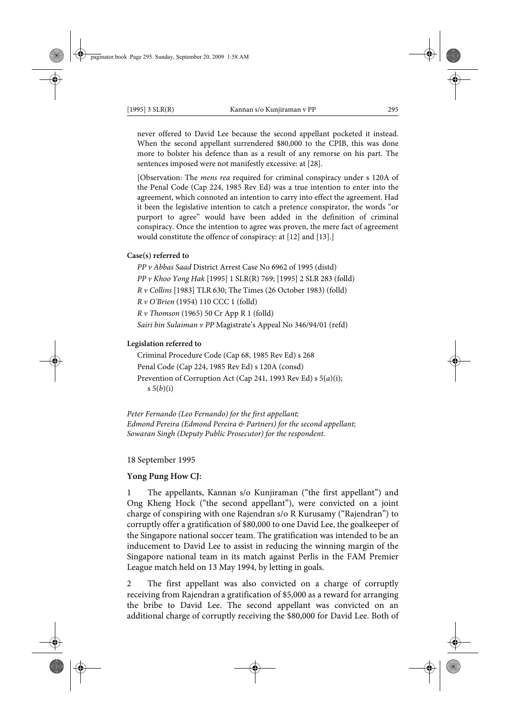never offered to David Lee because the second appellant pocketed it instead. When the second appellant surrendered \$80,000 to the CPIB, this was done more to bolster his defence than as a result of any remorse on his part. The sentences imposed were not manifestly excessive: at [28].

[Observation: The *mens rea* required for criminal conspiracy under s 120A of the Penal Code (Cap 224, 1985 Rev Ed) was a true intention to enter into the agreement, which connoted an intention to carry into effect the agreement. Had it been the legislative intention to catch a pretence conspirator, the words "or purport to agree" would have been added in the definition of criminal conspiracy. Once the intention to agree was proven, the mere fact of agreement would constitute the offence of conspiracy: at [12] and [13].]

#### **Case(s) referred to**

*PP v Abbas Saad* District Arrest Case No 6962 of 1995 (distd) *PP v Khoo Yong Hak* [1995] 1 SLR(R) 769; [1995] 2 SLR 283 (folld) *R v Collins* [1983] TLR 630; The Times (26 October 1983) (folld) *R v O'Brien* (1954) 110 CCC 1 (folld) *R v Thomson* (1965) 50 Cr App R 1 (folld) *Sairi bin Sulaiman v PP* Magistrate's Appeal No 346/94/01 (refd)

#### **Legislation referred to**

Criminal Procedure Code (Cap 68, 1985 Rev Ed) s 268 Penal Code (Cap 224, 1985 Rev Ed) s 120A (consd) Prevention of Corruption Act (Cap 241, 1993 Rev Ed) s 5(*a*)(i); s 5(*b*)(i)

*Peter Fernando (Leo Fernando) for the first appellant; Edmond Pereira (Edmond Pereira & Partners) for the second appellant; Sowaran Singh (Deputy Public Prosecutor) for the respondent.*

18 September 1995

## **Yong Pung How CJ:**

1 The appellants, Kannan s/o Kunjiraman ("the first appellant") and Ong Kheng Hock ("the second appellant"), were convicted on a joint charge of conspiring with one Rajendran s/o R Kurusamy ("Rajendran") to corruptly offer a gratification of \$80,000 to one David Lee, the goalkeeper of the Singapore national soccer team. The gratification was intended to be an inducement to David Lee to assist in reducing the winning margin of the Singapore national team in its match against Perlis in the FAM Premier League match held on 13 May 1994, by letting in goals.

2 The first appellant was also convicted on a charge of corruptly receiving from Rajendran a gratification of \$5,000 as a reward for arranging the bribe to David Lee. The second appellant was convicted on an additional charge of corruptly receiving the \$80,000 for David Lee. Both of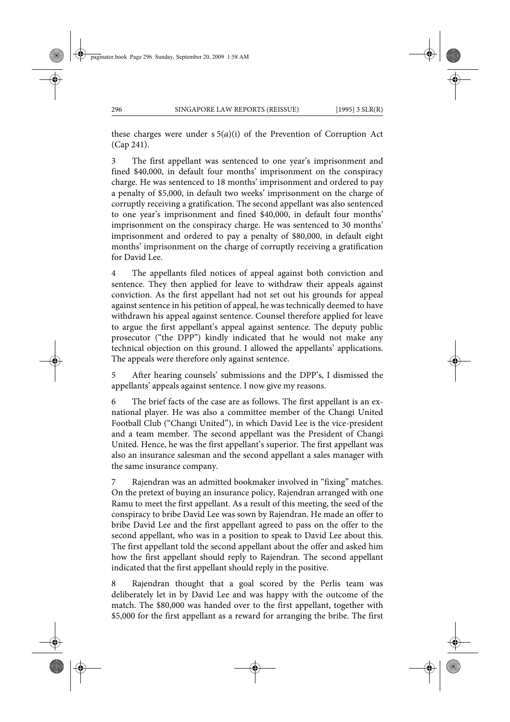these charges were under s 5(*a*)(i) of the Prevention of Corruption Act (Cap 241).

3 The first appellant was sentenced to one year's imprisonment and fined \$40,000, in default four months' imprisonment on the conspiracy charge. He was sentenced to 18 months' imprisonment and ordered to pay a penalty of \$5,000, in default two weeks' imprisonment on the charge of corruptly receiving a gratification. The second appellant was also sentenced to one year's imprisonment and fined \$40,000, in default four months' imprisonment on the conspiracy charge. He was sentenced to 30 months' imprisonment and ordered to pay a penalty of \$80,000, in default eight months' imprisonment on the charge of corruptly receiving a gratification for David Lee.

4 The appellants filed notices of appeal against both conviction and sentence. They then applied for leave to withdraw their appeals against conviction. As the first appellant had not set out his grounds for appeal against sentence in his petition of appeal, he was technically deemed to have withdrawn his appeal against sentence. Counsel therefore applied for leave to argue the first appellant's appeal against sentence. The deputy public prosecutor ("the DPP") kindly indicated that he would not make any technical objection on this ground. I allowed the appellants' applications. The appeals were therefore only against sentence.

5 After hearing counsels' submissions and the DPP's, I dismissed the appellants' appeals against sentence. I now give my reasons.

6 The brief facts of the case are as follows. The first appellant is an exnational player. He was also a committee member of the Changi United Football Club ("Changi United"), in which David Lee is the vice-president and a team member. The second appellant was the President of Changi United. Hence, he was the first appellant's superior. The first appellant was also an insurance salesman and the second appellant a sales manager with the same insurance company.

Rajendran was an admitted bookmaker involved in "fixing" matches. On the pretext of buying an insurance policy, Rajendran arranged with one Ramu to meet the first appellant. As a result of this meeting, the seed of the conspiracy to bribe David Lee was sown by Rajendran. He made an offer to bribe David Lee and the first appellant agreed to pass on the offer to the second appellant, who was in a position to speak to David Lee about this. The first appellant told the second appellant about the offer and asked him how the first appellant should reply to Rajendran. The second appellant indicated that the first appellant should reply in the positive.

8 Rajendran thought that a goal scored by the Perlis team was deliberately let in by David Lee and was happy with the outcome of the match. The \$80,000 was handed over to the first appellant, together with \$5,000 for the first appellant as a reward for arranging the bribe. The first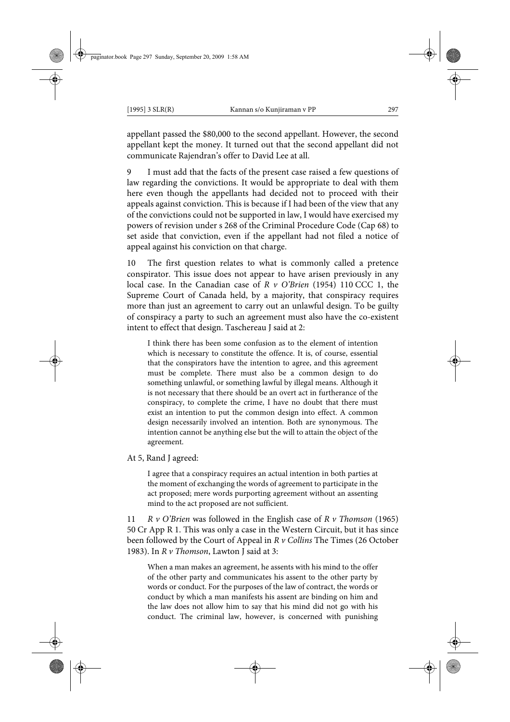appellant passed the \$80,000 to the second appellant. However, the second appellant kept the money. It turned out that the second appellant did not communicate Rajendran's offer to David Lee at all.

9 I must add that the facts of the present case raised a few questions of law regarding the convictions. It would be appropriate to deal with them here even though the appellants had decided not to proceed with their appeals against conviction. This is because if I had been of the view that any of the convictions could not be supported in law, I would have exercised my powers of revision under s 268 of the Criminal Procedure Code (Cap 68) to set aside that conviction, even if the appellant had not filed a notice of appeal against his conviction on that charge.

10 The first question relates to what is commonly called a pretence conspirator. This issue does not appear to have arisen previously in any local case. In the Canadian case of *R v O'Brien* (1954) 110 CCC 1, the Supreme Court of Canada held, by a majority, that conspiracy requires more than just an agreement to carry out an unlawful design. To be guilty of conspiracy a party to such an agreement must also have the co-existent intent to effect that design. Taschereau J said at 2:

I think there has been some confusion as to the element of intention which is necessary to constitute the offence. It is, of course, essential that the conspirators have the intention to agree, and this agreement must be complete. There must also be a common design to do something unlawful, or something lawful by illegal means. Although it is not necessary that there should be an overt act in furtherance of the conspiracy, to complete the crime, I have no doubt that there must exist an intention to put the common design into effect. A common design necessarily involved an intention. Both are synonymous. The intention cannot be anything else but the will to attain the object of the agreement.

At 5, Rand J agreed:

I agree that a conspiracy requires an actual intention in both parties at the moment of exchanging the words of agreement to participate in the act proposed; mere words purporting agreement without an assenting mind to the act proposed are not sufficient.

11 *R v O'Brien* was followed in the English case of *R v Thomson* (1965) 50 Cr App R 1. This was only a case in the Western Circuit, but it has since been followed by the Court of Appeal in *R v Collins* The Times (26 October 1983). In *R v Thomson*, Lawton J said at 3:

When a man makes an agreement, he assents with his mind to the offer of the other party and communicates his assent to the other party by words or conduct. For the purposes of the law of contract, the words or conduct by which a man manifests his assent are binding on him and the law does not allow him to say that his mind did not go with his conduct. The criminal law, however, is concerned with punishing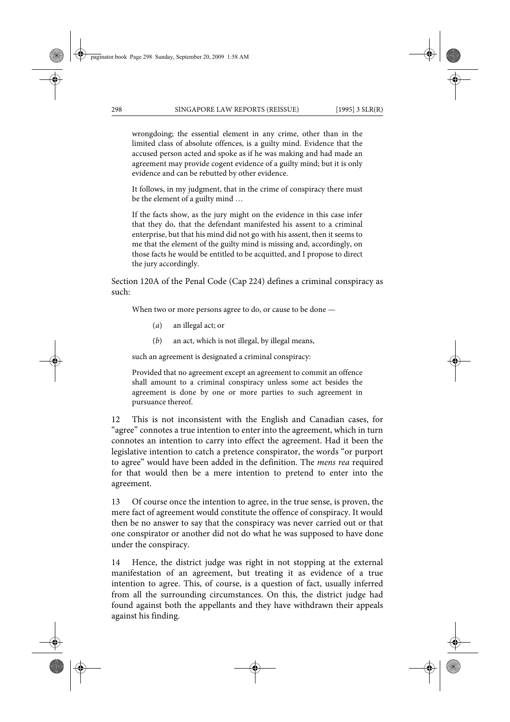wrongdoing; the essential element in any crime, other than in the limited class of absolute offences, is a guilty mind. Evidence that the accused person acted and spoke as if he was making and had made an agreement may provide cogent evidence of a guilty mind; but it is only evidence and can be rebutted by other evidence.

It follows, in my judgment, that in the crime of conspiracy there must be the element of a guilty mind …

If the facts show, as the jury might on the evidence in this case infer that they do, that the defendant manifested his assent to a criminal enterprise, but that his mind did not go with his assent, then it seems to me that the element of the guilty mind is missing and, accordingly, on those facts he would be entitled to be acquitted, and I propose to direct the jury accordingly.

Section 120A of the Penal Code (Cap 224) defines a criminal conspiracy as such:

When two or more persons agree to do, or cause to be done —

- (*a*) an illegal act; or
- (*b*) an act, which is not illegal, by illegal means,

such an agreement is designated a criminal conspiracy:

Provided that no agreement except an agreement to commit an offence shall amount to a criminal conspiracy unless some act besides the agreement is done by one or more parties to such agreement in pursuance thereof.

12 This is not inconsistent with the English and Canadian cases, for "agree" connotes a true intention to enter into the agreement, which in turn connotes an intention to carry into effect the agreement. Had it been the legislative intention to catch a pretence conspirator, the words "or purport to agree" would have been added in the definition. The *mens rea* required for that would then be a mere intention to pretend to enter into the agreement.

13 Of course once the intention to agree, in the true sense, is proven, the mere fact of agreement would constitute the offence of conspiracy. It would then be no answer to say that the conspiracy was never carried out or that one conspirator or another did not do what he was supposed to have done under the conspiracy.

14 Hence, the district judge was right in not stopping at the external manifestation of an agreement, but treating it as evidence of a true intention to agree. This, of course, is a question of fact, usually inferred from all the surrounding circumstances. On this, the district judge had found against both the appellants and they have withdrawn their appeals against his finding.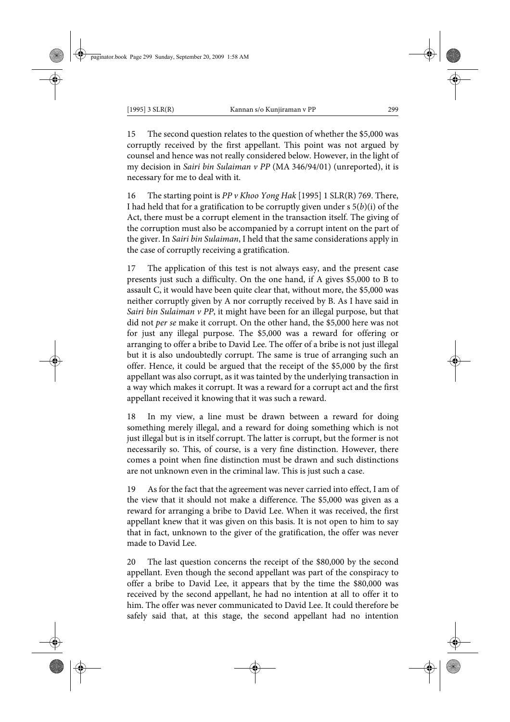15 The second question relates to the question of whether the \$5,000 was corruptly received by the first appellant. This point was not argued by counsel and hence was not really considered below. However, in the light of my decision in *Sairi bin Sulaiman v PP* (MA 346/94/01) (unreported), it is necessary for me to deal with it.

16 The starting point is *PP v Khoo Yong Hak* [1995] 1 SLR(R) 769. There, I had held that for a gratification to be corruptly given under  $s \, 5(b)(i)$  of the Act, there must be a corrupt element in the transaction itself. The giving of the corruption must also be accompanied by a corrupt intent on the part of the giver. In *Sairi bin Sulaiman*, I held that the same considerations apply in the case of corruptly receiving a gratification.

17 The application of this test is not always easy, and the present case presents just such a difficulty. On the one hand, if A gives \$5,000 to B to assault C, it would have been quite clear that, without more, the \$5,000 was neither corruptly given by A nor corruptly received by B. As I have said in *Sairi bin Sulaiman v PP*, it might have been for an illegal purpose, but that did not *per se* make it corrupt. On the other hand, the \$5,000 here was not for just any illegal purpose. The \$5,000 was a reward for offering or arranging to offer a bribe to David Lee. The offer of a bribe is not just illegal but it is also undoubtedly corrupt. The same is true of arranging such an offer. Hence, it could be argued that the receipt of the \$5,000 by the first appellant was also corrupt, as it was tainted by the underlying transaction in a way which makes it corrupt. It was a reward for a corrupt act and the first appellant received it knowing that it was such a reward.

18 In my view, a line must be drawn between a reward for doing something merely illegal, and a reward for doing something which is not just illegal but is in itself corrupt. The latter is corrupt, but the former is not necessarily so. This, of course, is a very fine distinction. However, there comes a point when fine distinction must be drawn and such distinctions are not unknown even in the criminal law. This is just such a case.

19 As for the fact that the agreement was never carried into effect, I am of the view that it should not make a difference. The \$5,000 was given as a reward for arranging a bribe to David Lee. When it was received, the first appellant knew that it was given on this basis. It is not open to him to say that in fact, unknown to the giver of the gratification, the offer was never made to David Lee.

20 The last question concerns the receipt of the \$80,000 by the second appellant. Even though the second appellant was part of the conspiracy to offer a bribe to David Lee, it appears that by the time the \$80,000 was received by the second appellant, he had no intention at all to offer it to him. The offer was never communicated to David Lee. It could therefore be safely said that, at this stage, the second appellant had no intention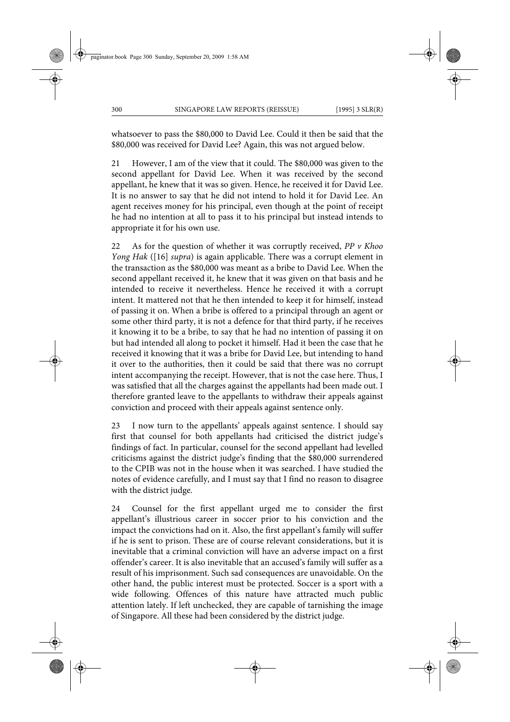whatsoever to pass the \$80,000 to David Lee. Could it then be said that the \$80,000 was received for David Lee? Again, this was not argued below.

21 However, I am of the view that it could. The \$80,000 was given to the second appellant for David Lee. When it was received by the second appellant, he knew that it was so given. Hence, he received it for David Lee. It is no answer to say that he did not intend to hold it for David Lee. An agent receives money for his principal, even though at the point of receipt he had no intention at all to pass it to his principal but instead intends to appropriate it for his own use.

22 As for the question of whether it was corruptly received, *PP v Khoo Yong Hak* ([16] *supra*) is again applicable. There was a corrupt element in the transaction as the \$80,000 was meant as a bribe to David Lee. When the second appellant received it, he knew that it was given on that basis and he intended to receive it nevertheless. Hence he received it with a corrupt intent. It mattered not that he then intended to keep it for himself, instead of passing it on. When a bribe is offered to a principal through an agent or some other third party, it is not a defence for that third party, if he receives it knowing it to be a bribe, to say that he had no intention of passing it on but had intended all along to pocket it himself. Had it been the case that he received it knowing that it was a bribe for David Lee, but intending to hand it over to the authorities, then it could be said that there was no corrupt intent accompanying the receipt. However, that is not the case here. Thus, I was satisfied that all the charges against the appellants had been made out. I therefore granted leave to the appellants to withdraw their appeals against conviction and proceed with their appeals against sentence only.

23 I now turn to the appellants' appeals against sentence. I should say first that counsel for both appellants had criticised the district judge's findings of fact. In particular, counsel for the second appellant had levelled criticisms against the district judge's finding that the \$80,000 surrendered to the CPIB was not in the house when it was searched. I have studied the notes of evidence carefully, and I must say that I find no reason to disagree with the district judge.

24 Counsel for the first appellant urged me to consider the first appellant's illustrious career in soccer prior to his conviction and the impact the convictions had on it. Also, the first appellant's family will suffer if he is sent to prison. These are of course relevant considerations, but it is inevitable that a criminal conviction will have an adverse impact on a first offender's career. It is also inevitable that an accused's family will suffer as a result of his imprisonment. Such sad consequences are unavoidable. On the other hand, the public interest must be protected. Soccer is a sport with a wide following. Offences of this nature have attracted much public attention lately. If left unchecked, they are capable of tarnishing the image of Singapore. All these had been considered by the district judge.